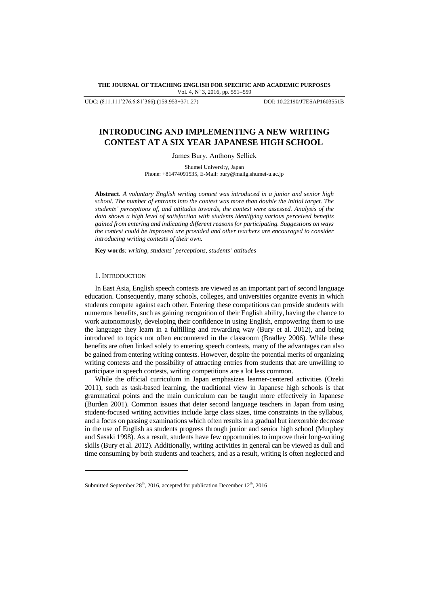**THE JOURNAL OF TEACHING ENGLISH FOR SPECIFIC AND ACADEMIC PURPOSES** Vol. 4, Nº 3, 2016, pp. 551-559

UDC: (811.111'276.6:81'366):(159.953+371.27) DOI: 10.22190/JTESAP1603551B

# **INTRODUCING AND IMPLEMENTING A NEW WRITING CONTEST AT A SIX YEAR JAPANESE HIGH SCHOOL**

James Bury, Anthony Sellick

Shumei University, Japan Phone: +81474091535, E-Mail: bury@mailg.shumei-u.ac.jp

**Abstract***. A voluntary English writing contest was introduced in a junior and senior high school. The number of entrants into the contest was more than double the initial target. The students' perceptions of, and attitudes towards, the contest were assessed. Analysis of the data shows a high level of satisfaction with students identifying various perceived benefits gained from entering and indicating different reasons for participating. Suggestions on ways the contest could be improved are provided and other teachers are encouraged to consider introducing writing contests of their own.*

**Key words***: writing, students' perceptions, students' attitudes*

#### 1. INTRODUCTION

l

In East Asia, English speech contests are viewed as an important part of second language education. Consequently, many schools, colleges, and universities organize events in which students compete against each other. Entering these competitions can provide students with numerous benefits, such as gaining recognition of their English ability, having the chance to work autonomously, developing their confidence in using English, empowering them to use the language they learn in a fulfilling and rewarding way (Bury et al. 2012), and being introduced to topics not often encountered in the classroom (Bradley 2006). While these benefits are often linked solely to entering speech contests, many of the advantages can also be gained from entering writing contests. However, despite the potential merits of organizing writing contests and the possibility of attracting entries from students that are unwilling to participate in speech contests, writing competitions are a lot less common.

While the official curriculum in Japan emphasizes learner-centered activities (Ozeki 2011), such as task-based learning, the traditional view in Japanese high schools is that grammatical points and the main curriculum can be taught more effectively in Japanese (Burden 2001). Common issues that deter second language teachers in Japan from using student-focused writing activities include large class sizes, time constraints in the syllabus, and a focus on passing examinations which often results in a gradual but inexorable decrease in the use of English as students progress through junior and senior high school (Murphey and Sasaki 1998). As a result, students have few opportunities to improve their long-writing skills (Bury et al. 2012). Additionally, writing activities in general can be viewed as dull and time consuming by both students and teachers, and as a result, writing is often neglected and

Submitted September  $28<sup>th</sup>$ , 2016, accepted for publication December  $12<sup>th</sup>$ , 2016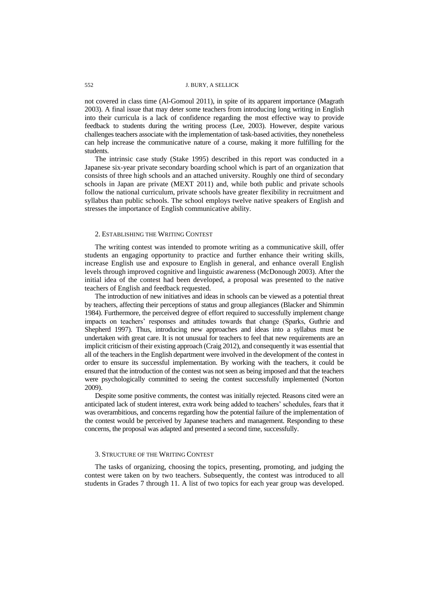not covered in class time (Al-Gomoul 2011), in spite of its apparent importance (Magrath 2003). A final issue that may deter some teachers from introducing long writing in English into their curricula is a lack of confidence regarding the most effective way to provide feedback to students during the writing process (Lee, 2003). However, despite various challenges teachers associate with the implementation of task-based activities, they nonetheless can help increase the communicative nature of a course, making it more fulfilling for the students.

The intrinsic case study (Stake 1995) described in this report was conducted in a Japanese six-year private secondary boarding school which is part of an organization that consists of three high schools and an attached university. Roughly one third of secondary schools in Japan are private (MEXT 2011) and, while both public and private schools follow the national curriculum, private schools have greater flexibility in recruitment and syllabus than public schools. The school employs twelve native speakers of English and stresses the importance of English communicative ability.

# 2. ESTABLISHING THE WRITING CONTEST

The writing contest was intended to promote writing as a communicative skill, offer students an engaging opportunity to practice and further enhance their writing skills, increase English use and exposure to English in general, and enhance overall English levels through improved cognitive and linguistic awareness (McDonough 2003). After the initial idea of the contest had been developed, a proposal was presented to the native teachers of English and feedback requested.

The introduction of new initiatives and ideas in schools can be viewed as a potential threat by teachers, affecting their perceptions of status and group allegiances (Blacker and Shimmin 1984). Furthermore, the perceived degree of effort required to successfully implement change impacts on teachers" responses and attitudes towards that change (Sparks, Guthrie and Shepherd 1997). Thus, introducing new approaches and ideas into a syllabus must be undertaken with great care. It is not unusual for teachers to feel that new requirements are an implicit criticism of their existing approach (Craig 2012), and consequently it was essential that all of the teachers in the English department were involved in the development of the contest in order to ensure its successful implementation. By working with the teachers, it could be ensured that the introduction of the contest was not seen as being imposed and that the teachers were psychologically committed to seeing the contest successfully implemented (Norton 2009).

Despite some positive comments, the contest was initially rejected. Reasons cited were an anticipated lack of student interest, extra work being added to teachers" schedules, fears that it was overambitious, and concerns regarding how the potential failure of the implementation of the contest would be perceived by Japanese teachers and management. Responding to these concerns, the proposal was adapted and presented a second time, successfully.

#### 3. STRUCTURE OF THE WRITING CONTEST

The tasks of organizing, choosing the topics, presenting, promoting, and judging the contest were taken on by two teachers. Subsequently, the contest was introduced to all students in Grades 7 through 11. A list of two topics for each year group was developed.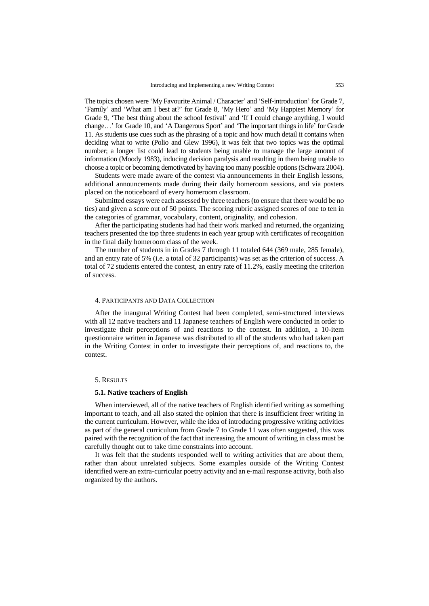The topics chosen were 'My Favourite Animal / Character' and 'Self-introduction' for Grade 7, "Family" and "What am I best at?" for Grade 8, "My Hero" and "My Happiest Memory" for Grade 9, "The best thing about the school festival" and "If I could change anything, I would change...' for Grade 10, and 'A Dangerous Sport' and 'The important things in life' for Grade 11. As students use cues such as the phrasing of a topic and how much detail it contains when deciding what to write (Polio and Glew 1996), it was felt that two topics was the optimal number; a longer list could lead to students being unable to manage the large amount of information (Moody 1983), inducing decision paralysis and resulting in them being unable to choose a topic or becoming demotivated by having too many possible options (Schwarz 2004).

Students were made aware of the contest via announcements in their English lessons, additional announcements made during their daily homeroom sessions, and via posters placed on the noticeboard of every homeroom classroom.

Submitted essays were each assessed by three teachers (to ensure that there would be no ties) and given a score out of 50 points. The scoring rubric assigned scores of one to ten in the categories of grammar, vocabulary, content, originality, and cohesion.

After the participating students had had their work marked and returned, the organizing teachers presented the top three students in each year group with certificates of recognition in the final daily homeroom class of the week.

The number of students in in Grades 7 through 11 totaled 644 (369 male, 285 female), and an entry rate of 5% (i.e. a total of 32 participants) was set as the criterion of success. A total of 72 students entered the contest, an entry rate of 11.2%, easily meeting the criterion of success.

#### 4. PARTICIPANTS AND DATA COLLECTION

After the inaugural Writing Contest had been completed, semi-structured interviews with all 12 native teachers and 11 Japanese teachers of English were conducted in order to investigate their perceptions of and reactions to the contest. In addition, a 10-item questionnaire written in Japanese was distributed to all of the students who had taken part in the Writing Contest in order to investigate their perceptions of, and reactions to, the contest.

# 5. RESULTS

# **5.1. Native teachers of English**

When interviewed, all of the native teachers of English identified writing as something important to teach, and all also stated the opinion that there is insufficient freer writing in the current curriculum. However, while the idea of introducing progressive writing activities as part of the general curriculum from Grade 7 to Grade 11 was often suggested, this was paired with the recognition of the fact that increasing the amount of writing in class must be carefully thought out to take time constraints into account.

It was felt that the students responded well to writing activities that are about them, rather than about unrelated subjects. Some examples outside of the Writing Contest identified were an extra-curricular poetry activity and an e-mail response activity, both also organized by the authors.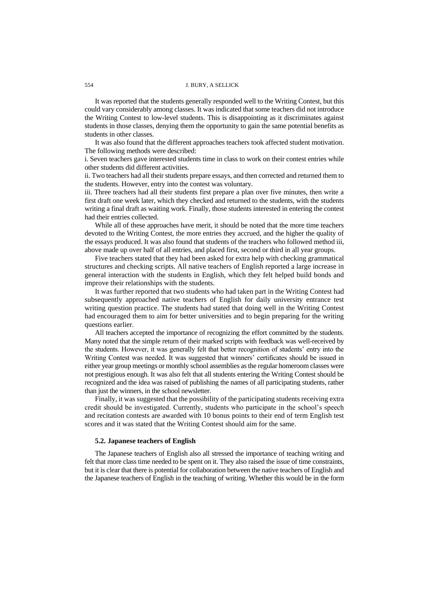## 554 J. BURY, A SELLICK

It was reported that the students generally responded well to the Writing Contest, but this could vary considerably among classes. It was indicated that some teachers did not introduce the Writing Contest to low-level students. This is disappointing as it discriminates against students in those classes, denying them the opportunity to gain the same potential benefits as students in other classes.

It was also found that the different approaches teachers took affected student motivation. The following methods were described:

i. Seven teachers gave interested students time in class to work on their contest entries while other students did different activities.

ii. Two teachers had all their students prepare essays, and then corrected and returned them to the students. However, entry into the contest was voluntary.

iii. Three teachers had all their students first prepare a plan over five minutes, then write a first draft one week later, which they checked and returned to the students, with the students writing a final draft as waiting work. Finally, those students interested in entering the contest had their entries collected.

While all of these approaches have merit, it should be noted that the more time teachers devoted to the Writing Contest, the more entries they accrued, and the higher the quality of the essays produced. It was also found that students of the teachers who followed method iii, above made up over half of all entries, and placed first, second or third in all year groups.

Five teachers stated that they had been asked for extra help with checking grammatical structures and checking scripts. All native teachers of English reported a large increase in general interaction with the students in English, which they felt helped build bonds and improve their relationships with the students.

It was further reported that two students who had taken part in the Writing Contest had subsequently approached native teachers of English for daily university entrance test writing question practice. The students had stated that doing well in the Writing Contest had encouraged them to aim for better universities and to begin preparing for the writing questions earlier.

All teachers accepted the importance of recognizing the effort committed by the students. Many noted that the simple return of their marked scripts with feedback was well-received by the students. However, it was generally felt that better recognition of students" entry into the Writing Contest was needed. It was suggested that winners' certificates should be issued in either year group meetings or monthly school assemblies as the regular homeroom classes were not prestigious enough. It was also felt that all students entering the Writing Contest should be recognized and the idea was raised of publishing the names of all participating students, rather than just the winners, in the school newsletter.

Finally, it was suggested that the possibility of the participating students receiving extra credit should be investigated. Currently, students who participate in the school"s speech and recitation contests are awarded with 10 bonus points to their end of term English test scores and it was stated that the Writing Contest should aim for the same.

#### **5.2. Japanese teachers of English**

The Japanese teachers of English also all stressed the importance of teaching writing and felt that more class time needed to be spent on it. They also raised the issue of time constraints, but it is clear that there is potential for collaboration between the native teachers of English and the Japanese teachers of English in the teaching of writing. Whether this would be in the form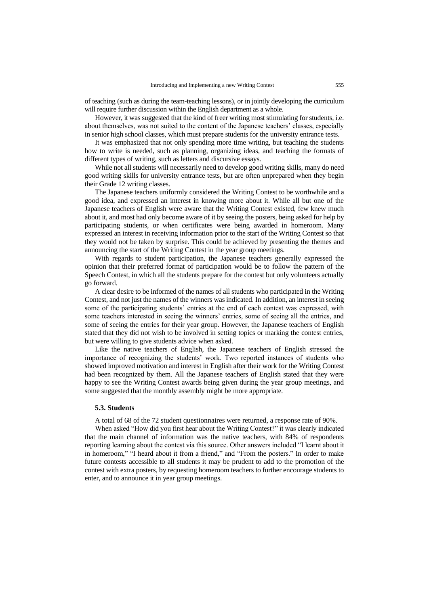of teaching (such as during the team-teaching lessons), or in jointly developing the curriculum will require further discussion within the English department as a whole.

However, it was suggested that the kind of freer writing most stimulating for students, i.e. about themselves, was not suited to the content of the Japanese teachers' classes, especially in senior high school classes, which must prepare students for the university entrance tests.

It was emphasized that not only spending more time writing, but teaching the students how to write is needed, such as planning, organizing ideas, and teaching the formats of different types of writing, such as letters and discursive essays.

While not all students will necessarily need to develop good writing skills, many do need good writing skills for university entrance tests, but are often unprepared when they begin their Grade 12 writing classes.

The Japanese teachers uniformly considered the Writing Contest to be worthwhile and a good idea, and expressed an interest in knowing more about it. While all but one of the Japanese teachers of English were aware that the Writing Contest existed, few knew much about it, and most had only become aware of it by seeing the posters, being asked for help by participating students, or when certificates were being awarded in homeroom. Many expressed an interest in receiving information prior to the start of the Writing Contest so that they would not be taken by surprise. This could be achieved by presenting the themes and announcing the start of the Writing Contest in the year group meetings.

With regards to student participation, the Japanese teachers generally expressed the opinion that their preferred format of participation would be to follow the pattern of the Speech Contest, in which all the students prepare for the contest but only volunteers actually go forward.

A clear desire to be informed of the names of all students who participated in the Writing Contest, and not just the names of the winners was indicated. In addition, an interest in seeing some of the participating students" entries at the end of each contest was expressed, with some teachers interested in seeing the winners" entries, some of seeing all the entries, and some of seeing the entries for their year group. However, the Japanese teachers of English stated that they did not wish to be involved in setting topics or marking the contest entries, but were willing to give students advice when asked.

Like the native teachers of English, the Japanese teachers of English stressed the importance of recognizing the students" work. Two reported instances of students who showed improved motivation and interest in English after their work for the Writing Contest had been recognized by them. All the Japanese teachers of English stated that they were happy to see the Writing Contest awards being given during the year group meetings, and some suggested that the monthly assembly might be more appropriate.

# **5.3. Students**

A total of 68 of the 72 student questionnaires were returned, a response rate of 90%.

When asked "How did you first hear about the Writing Contest?" it was clearly indicated that the main channel of information was the native teachers, with 84% of respondents reporting learning about the contest via this source. Other answers included "I learnt about it in homeroom," "I heard about it from a friend," and "From the posters." In order to make future contests accessible to all students it may be prudent to add to the promotion of the contest with extra posters, by requesting homeroom teachers to further encourage students to enter, and to announce it in year group meetings.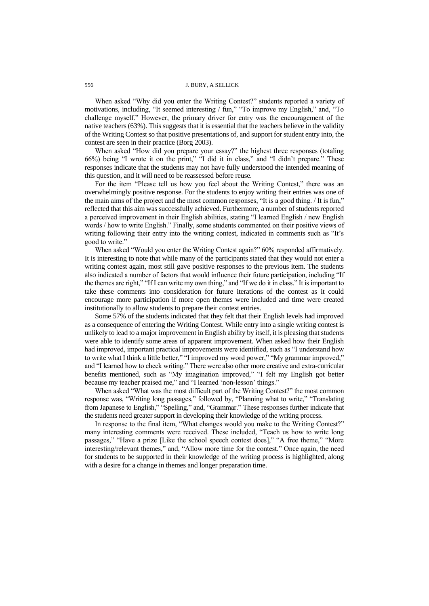When asked "Why did you enter the Writing Contest?" students reported a variety of motivations, including, "It seemed interesting / fun," "To improve my English," and, "To challenge myself." However, the primary driver for entry was the encouragement of the native teachers (63%). This suggests that it is essential that the teachers believe in the validity of the Writing Contest so that positive presentations of, and support for student entry into, the contest are seen in their practice (Borg 2003).

When asked "How did you prepare your essay?" the highest three responses (totaling 66%) being "I wrote it on the print," "I did it in class," and "I didn"t prepare." These responses indicate that the students may not have fully understood the intended meaning of this question, and it will need to be reassessed before reuse.

For the item "Please tell us how you feel about the Writing Contest," there was an overwhelmingly positive response. For the students to enjoy writing their entries was one of the main aims of the project and the most common responses, "It is a good thing. / It is fun," reflected that this aim was successfully achieved. Furthermore, a number of students reported a perceived improvement in their English abilities, stating "I learned English / new English words / how to write English." Finally, some students commented on their positive views of writing following their entry into the writing contest, indicated in comments such as "It's good to write."

When asked "Would you enter the Writing Contest again?" 60% responded affirmatively. It is interesting to note that while many of the participants stated that they would not enter a writing contest again, most still gave positive responses to the previous item. The students also indicated a number of factors that would influence their future participation, including "If the themes are right," "If I can write my own thing," and "If we do it in class." It is important to take these comments into consideration for future iterations of the contest as it could encourage more participation if more open themes were included and time were created institutionally to allow students to prepare their contest entries.

Some 57% of the students indicated that they felt that their English levels had improved as a consequence of entering the Writing Contest. While entry into a single writing contest is unlikely to lead to a major improvement in English ability by itself, it is pleasing that students were able to identify some areas of apparent improvement. When asked how their English had improved, important practical improvements were identified, such as "I understand how to write what I think a little better," "I improved my word power," "My grammar improved," and "I learned how to check writing." There were also other more creative and extra-curricular benefits mentioned, such as "My imagination improved," "I felt my English got better because my teacher praised me," and "I learned 'non-lesson' things."

When asked "What was the most difficult part of the Writing Contest?" the most common response was, "Writing long passages," followed by, "Planning what to write," "Translating from Japanese to English," "Spelling," and, "Grammar." These responses further indicate that the students need greater support in developing their knowledge of the writing process.

In response to the final item, "What changes would you make to the Writing Contest?" many interesting comments were received. These included, "Teach us how to write long passages," "Have a prize [Like the school speech contest does]," "A free theme," "More interesting/relevant themes," and, "Allow more time for the contest." Once again, the need for students to be supported in their knowledge of the writing process is highlighted, along with a desire for a change in themes and longer preparation time.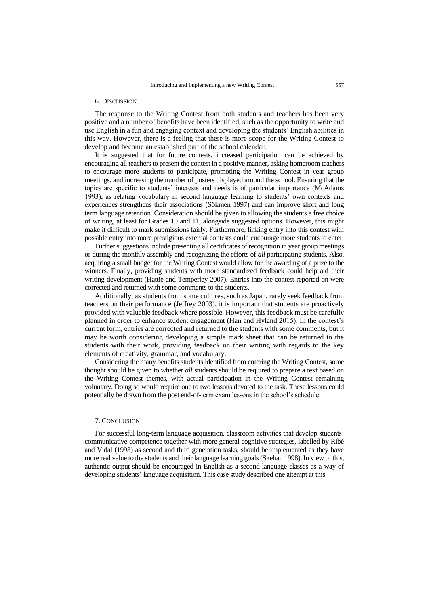#### 6. DISCUSSION

The response to the Writing Contest from both students and teachers has been very positive and a number of benefits have been identified, such as the opportunity to write and use English in a fun and engaging context and developing the students" English abilities in this way. However, there is a feeling that there is more scope for the Writing Contest to develop and become an established part of the school calendar.

It is suggested that for future contests, increased participation can be achieved by encouraging all teachers to present the contest in a positive manner, asking homeroom teachers to encourage more students to participate, promoting the Writing Contest in year group meetings, and increasing the number of posters displayed around the school. Ensuring that the topics are specific to students" interests and needs is of particular importance (McAdams 1993), as relating vocabulary in second language learning to students" own contexts and experiences strengthens their associations (Sökmen 1997) and can improve short and long term language retention. Consideration should be given to allowing the students a free choice of writing, at least for Grades 10 and 11, alongside suggested options. However, this might make it difficult to mark submissions fairly. Furthermore, linking entry into this contest with possible entry into more prestigious external contests could encourage more students to enter.

Further suggestions include presenting all certificates of recognition in year group meetings or during the monthly assembly and recognizing the efforts of *all* participating students. Also, acquiring a small budget for the Writing Contest would allow for the awarding of a prize to the winners. Finally, providing students with more standardized feedback could help aid their writing development (Hattie and Temperley 2007). Entries into the contest reported on were corrected and returned with some comments to the students.

Additionally, as students from some cultures, such as Japan, rarely seek feedback from teachers on their performance (Jeffrey 2003), it is important that students are proactively provided with valuable feedback where possible. However, this feedback must be carefully planned in order to enhance student engagement (Han and Hyland 2015). In the contest"s current form, entries are corrected and returned to the students with some comments, but it may be worth considering developing a simple mark sheet that can be returned to the students with their work, providing feedback on their writing with regards to the key elements of creativity, grammar, and vocabulary.

Considering the many benefits students identified from entering the Writing Contest, some thought should be given to whether *all* students should be required to prepare a text based on the Writing Contest themes, with actual participation in the Writing Contest remaining voluntary. Doing so would require one to two lessons devoted to the task. These lessons could potentially be drawn from the post end-of-term exam lessons in the school"s schedule.

# 7. CONCLUSION

For successful long-term language acquisition, classroom activities that develop students' communicative competence together with more general cognitive strategies, labelled by Ribé and Vidal (1993) as second and third generation tasks, should be implemented as they have more real value to the students and their language learning goals (Skehan 1998). In view of this, authentic output should be encouraged in English as a second language classes as a way of developing students' language acquisition. This case study described one attempt at this.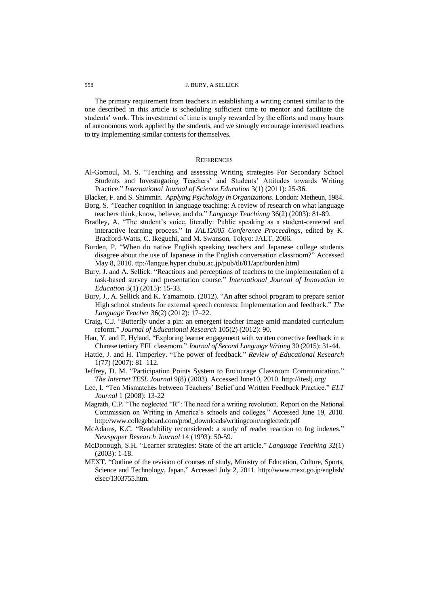The primary requirement from teachers in establishing a writing contest similar to the one described in this article is scheduling sufficient time to mentor and facilitate the students' work. This investment of time is amply rewarded by the efforts and many hours of autonomous work applied by the students, and we strongly encourage interested teachers to try implementing similar contests for themselves.

#### **REFERENCES**

- Al-Gomoul, M. S. "Teaching and assessing Writing strategies For Secondary School Students and Investugating Teachers' and Students' Attitudes towards Writing Practice." *International Journal of Science Education* 3(1) (2011): 25-36.
- Blacker, F. and S. Shimmin. *Applying Psychology in Organizations*. London: Metheun, 1984. Borg, S. "Teacher cognition in language teaching: A review of research on what language
- teachers think, know, believe, and do." *Language Teachinng* 36(2) (2003): 81-89. Bradley, A. "The student"s voice, literally: Public speaking as a student-centered and interactive learning process." In *JALT2005 Conference Proceedings*, edited by K. Bradford-Watts, C. Ikeguchi, and M. Swanson, Tokyo: JALT, 2006.
- Burden, P. "When do native English speaking teachers and Japanese college students disagree about the use of Japanese in the English conversation classroom?" Accessed May 8, 2010. ttp://langue.hyper.chubu.ac.jp/pub/tlt/01/apr/burden.html
- Bury, J. and A. Sellick. "Reactions and perceptions of teachers to the implementation of a task-based survey and presentation course." *International Journal of Innovation in Education* 3(1) (2015): 15-33.
- Bury, J., A. Sellick and K. Yamamoto. (2012). "An after school program to prepare senior High school students for external speech contests: Implementation and feedback." *The Language Teacher* 36(2) (2012): 17–22.
- Craig, C.J. "Butterfly under a pin: an emergent teacher image amid mandated curriculum reform." *Journal of Educational Research* 105(2) (2012): 90.
- Han, Y. and F. Hyland. "Exploring learner engagement with written corrective feedback in a Chinese tertiary EFL classroom." *Journal of Second Language Writing* 30 (2015): 31-44.
- Hattie, J. and H. Timperley. "The power of feedback." *Review of Educational Research* 1(77) (2007): 81–112.
- Jeffrey, D. M. "Participation Points System to Encourage Classroom Communication." *The Internet TESL Journal* 9(8) (2003). Accessed June10, 2010. http://iteslj.org/
- Lee, I. "Ten Mismatches between Teachers" Belief and Written Feedback Practice." *ELT Journal* 1 (2008): 13-22
- Magrath, C.P. "The neglected "R": The need for a writing revolution. Report on the National Commission on Writing in America"s schools and colleges." Accessed June 19, 2010. http://www.collegeboard.com/prod\_downloads/writingcom/neglectedr.pdf
- McAdams, K.C. "Readability reconsidered: a study of reader reaction to fog indexes." *Newspaper Research Journal* 14 (1993): 50-59.
- McDonough, S.H. "Learner strategies: State of the art article." *Language Teaching* 32(1) (2003): 1-18.
- MEXT. "Outline of the revision of courses of study, Ministry of Education, Culture, Sports, Science and Technology, Japan." Accessed July 2, 2011. http://www.mext.go.jp/english/ elsec/1303755.htm.